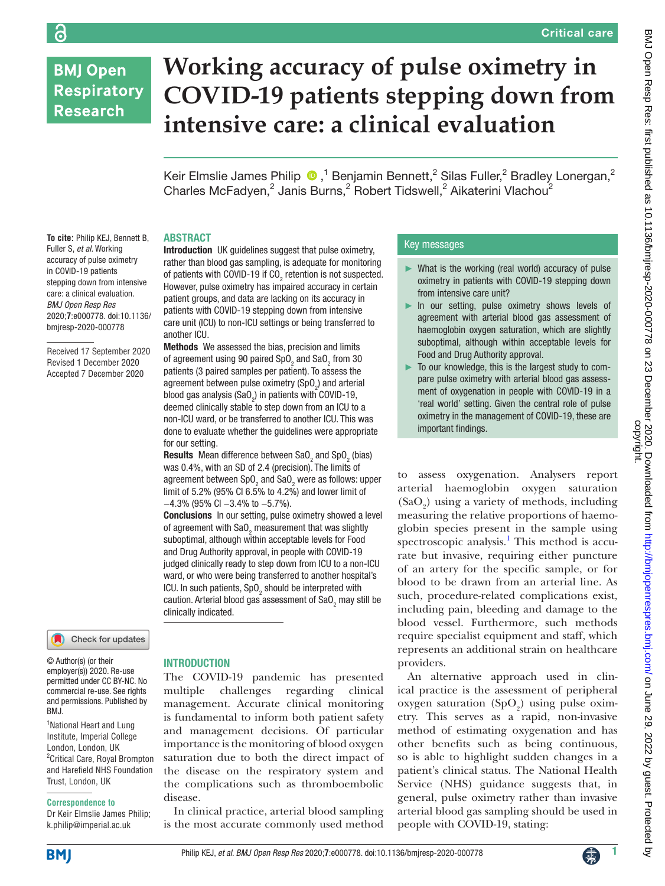# **BMJ Open Respiratory Research**

ခြ

# **Working accuracy of pulse oximetry in COVID-19 patients stepping down from intensive care: a clinical evaluation**

Keir Elmslie James Philip  $\bigcirc$ ,<sup>1</sup> Benjamin Bennett,<sup>2</sup> Silas Fuller,<sup>2</sup> Bradley Lonergan,<sup>2</sup> Charles McFadyen,<sup>2</sup> Janis Burns,<sup>2</sup> Robert Tidswell,<sup>2</sup> Aikaterini Vlachou<sup>2</sup>

## ABSTRACT

another ICU.

for our setting.

−4.3% (95% CI −3.4% to −5.7%).

Introduction UK guidelines suggest that pulse oximetry, rather than blood gas sampling, is adequate for monitoring of patients with COVID-19 if CO<sub>2</sub> retention is not suspected. However, pulse oximetry has impaired accuracy in certain patient groups, and data are lacking on its accuracy in patients with COVID-19 stepping down from intensive care unit (ICU) to non-ICU settings or being transferred to

Methods We assessed the bias, precision and limits of agreement using 90 paired SpO<sub>2</sub> and SaO<sub>2</sub> from 30 patients (3 paired samples per patient). To assess the agreement between pulse oximetry (SpO<sub>2</sub>) and arterial blood gas analysis (SaO<sub>2</sub>) in patients with COVID-19, deemed clinically stable to step down from an ICU to a non-ICU ward, or be transferred to another ICU. This was done to evaluate whether the guidelines were appropriate

**Results** Mean difference between SaO<sub>2</sub> and SpO<sub>2</sub> (bias) was 0.4%, with an SD of 2.4 (precision). The limits of agreement between SpO<sub>2</sub> and SaO<sub>2</sub> were as follows: upper limit of 5.2% (95% CI 6.5% to 4.2%) and lower limit of

Conclusions In our setting, pulse oximetry showed a level of agreement with SaO<sub>2</sub> measurement that was slightly suboptimal, although within acceptable levels for Food and Drug Authority approval, in people with COVID-19 judged clinically ready to step down from ICU to a non-ICU ward, or who were being transferred to another hospital's ICU. In such patients,  $\text{SpO}_2$  should be interpreted with caution. Arterial blood gas assessment of SaO<sub>2</sub> may still be

**To cite:** Philip KEJ, Bennett B, Fuller S, *et al*. Working accuracy of pulse oximetry in COVID-19 patients stepping down from intensive care: a clinical evaluation. *BMJ Open Resp Res* 2020;**7**:e000778. doi:10.1136/ bmjresp-2020-000778

Received 17 September 2020 Revised 1 December 2020 Accepted 7 December 2020

# Check for updates

© Author(s) (or their employer(s)) 2020. Re-use permitted under CC BY-NC. No commercial re-use. See rights and permissions. Published by BMJ.

<sup>1</sup> National Heart and Lung Institute, Imperial College London, London, UK <sup>2</sup> Critical Care, Royal Brompton and Harefield NHS Foundation Trust, London, UK

#### **Correspondence to**

Dr Keir Elmslie James Philip; k.philip@imperial.ac.uk

#### **INTRODUCTION**

clinically indicated.

The COVID-19 pandemic has presented multiple challenges regarding clinical management. Accurate clinical monitoring is fundamental to inform both patient safety and management decisions. Of particular importance is the monitoring of blood oxygen saturation due to both the direct impact of the disease on the respiratory system and the complications such as thromboembolic disease.

In clinical practice, arterial blood sampling is the most accurate commonly used method

# Key messages

- ► What is the working (real world) accuracy of pulse oximetry in patients with COVID-19 stepping down from intensive care unit?
- In our setting, pulse oximetry shows levels of agreement with arterial blood gas assessment of haemoglobin oxygen saturation, which are slightly suboptimal, although within acceptable levels for Food and Drug Authority approval.
- ► To our knowledge, this is the largest study to compare pulse oximetry with arterial blood gas assessment of oxygenation in people with COVID-19 in a 'real world' setting. Given the central role of pulse oximetry in the management of COVID-19, these are important findings.

to assess oxygenation. Analysers report arterial haemoglobin oxygen saturation  $(SaO<sub>2</sub>)$  using a variety of methods, including measuring the relative proportions of haemoglobin species present in the sample using spectroscopic analysis.<sup>[1](#page-4-0)</sup> This method is accurate but invasive, requiring either puncture of an artery for the specific sample, or for blood to be drawn from an arterial line. As such, procedure-related complications exist, including pain, bleeding and damage to the blood vessel. Furthermore, such methods require specialist equipment and staff, which represents an additional strain on healthcare providers.

An alternative approach used in clinical practice is the assessment of peripheral oxygen saturation  $(SpO<sub>2</sub>)$  using pulse oximetry. This serves as a rapid, non-invasive method of estimating oxygenation and has other benefits such as being continuous, so is able to highlight sudden changes in a patient's clinical status. The National Health Service (NHS) guidance suggests that, in general, pulse oximetry rather than invasive arterial blood gas sampling should be used in people with COVID-19, stating:

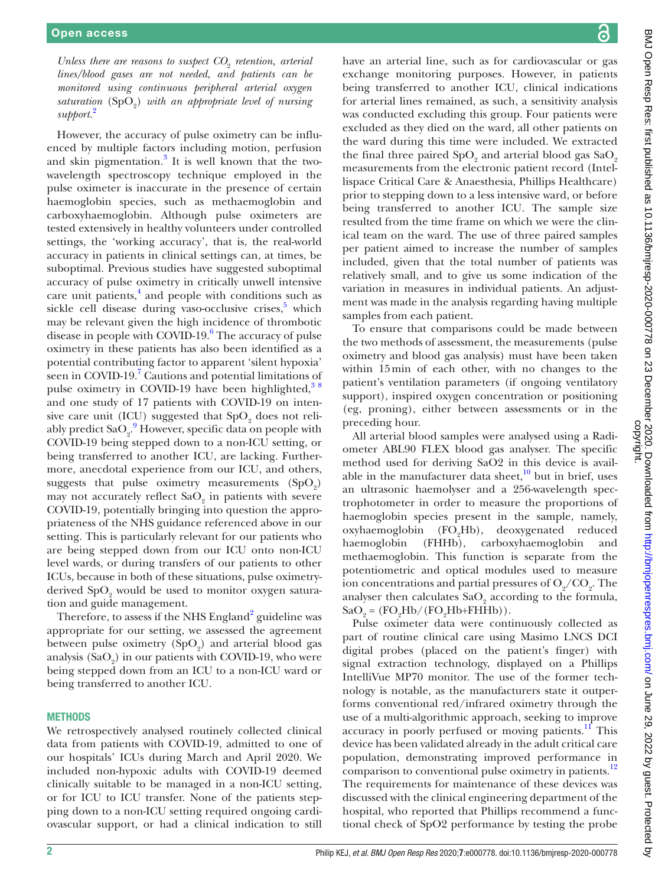Unless there are reasons to suspect  $CO_2$  retention, arterial *lines/blood gases are not needed, and patients can be monitored using continuous peripheral arterial oxygen*  saturation (SpO<sub>2</sub>) with an appropriate level of nursing *support.*[2](#page-4-1)

However, the accuracy of pulse oximetry can be influenced by multiple factors including motion, perfusion and skin pigmentation.<sup>3</sup> It is well known that the twowavelength spectroscopy technique employed in the pulse oximeter is inaccurate in the presence of certain haemoglobin species, such as methaemoglobin and carboxyhaemoglobin. Although pulse oximeters are tested extensively in healthy volunteers under controlled settings, the 'working accuracy', that is, the real-world accuracy in patients in clinical settings can, at times, be suboptimal. Previous studies have suggested suboptimal accuracy of pulse oximetry in critically unwell intensive care unit patients,<sup>[4](#page-4-3)</sup> and people with conditions such as sickle cell disease during vaso-occlusive crises,<sup>[5](#page-4-4)</sup> which may be relevant given the high incidence of thrombotic disease in people with COVID-19.<sup>[6](#page-4-5)</sup> The accuracy of pulse oximetry in these patients has also been identified as a potential contributing factor to apparent 'silent hypoxia' seen in COVID-19.<sup>7</sup> Cautions and potential limitations of pulse oximetry in COVID-19 have been highlighted,  $38$ and one study of 17 patients with COVID-19 on intensive care unit (ICU) suggested that  $SpO<sub>2</sub>$  does not reliably predict  $\text{SaO}_2$ .<sup>[9](#page-4-7)</sup> However, specific data on people with COVID-19 being stepped down to a non-ICU setting, or being transferred to another ICU, are lacking. Furthermore, anecdotal experience from our ICU, and others, suggests that pulse oximetry measurements  $(SpO<sub>2</sub>)$ may not accurately reflect  $\text{SaO}_2$  in patients with severe COVID-19, potentially bringing into question the appropriateness of the NHS guidance referenced above in our setting. This is particularly relevant for our patients who are being stepped down from our ICU onto non-ICU level wards, or during transfers of our patients to other ICUs, because in both of these situations, pulse oximetryderived  $\mathrm{SpO}_2$  would be used to monitor oxygen saturation and guide management.

Therefore, to assess if the NHS England<sup>[2](#page-4-1)</sup> guideline was appropriate for our setting, we assessed the agreement between pulse oximetry  $(SpO<sub>2</sub>)$  and arterial blood gas analysis  $(SaO<sub>2</sub>)$  in our patients with COVID-19, who were being stepped down from an ICU to a non-ICU ward or being transferred to another ICU.

#### **METHODS**

We retrospectively analysed routinely collected clinical data from patients with COVID-19, admitted to one of our hospitals' ICUs during March and April 2020. We included non-hypoxic adults with COVID-19 deemed clinically suitable to be managed in a non-ICU setting, or for ICU to ICU transfer. None of the patients stepping down to a non-ICU setting required ongoing cardiovascular support, or had a clinical indication to still

have an arterial line, such as for cardiovascular or gas exchange monitoring purposes. However, in patients being transferred to another ICU, clinical indications for arterial lines remained, as such, a sensitivity analysis was conducted excluding this group. Four patients were excluded as they died on the ward, all other patients on the ward during this time were included. We extracted the final three paired  $SpO<sub>2</sub>$  and arterial blood gas  $SaO<sub>2</sub>$ measurements from the electronic patient record (Intellispace Critical Care & Anaesthesia, Phillips Healthcare) prior to stepping down to a less intensive ward, or before being transferred to another ICU. The sample size resulted from the time frame on which we were the clinical team on the ward. The use of three paired samples per patient aimed to increase the number of samples included, given that the total number of patients was relatively small, and to give us some indication of the variation in measures in individual patients. An adjustment was made in the analysis regarding having multiple samples from each patient.

To ensure that comparisons could be made between the two methods of assessment, the measurements (pulse oximetry and blood gas analysis) must have been taken within 15min of each other, with no changes to the patient's ventilation parameters (if ongoing ventilatory support), inspired oxygen concentration or positioning (eg, proning), either between assessments or in the preceding hour.

All arterial blood samples were analysed using a Radiometer ABL90 FLEX blood gas analyser. The specific method used for deriving SaO2 in this device is available in the manufacturer data sheet, $^{10}$  $^{10}$  $^{10}$  but in brief, uses an ultrasonic haemolyser and a 256-wavelength spectrophotometer in order to measure the proportions of haemoglobin species present in the sample, namely, oxyhaemoglobin (FO<sub>2</sub>Hb), deoxygenated reduced haemoglobin (FHHb), carboxyhaemoglobin and methaemoglobin. This function is separate from the potentiometric and optical modules used to measure ion concentrations and partial pressures of  $O_q/CO_q$ . The analyser then calculates  $\mathrm{SaO}_{2}$  according to the formula,  $\text{SaO}_2 = (\text{FO}_2\text{Hb}/(\text{FO}_2\text{Hb}+\text{FHHb})).$ 

Pulse oximeter data were continuously collected as part of routine clinical care using Masimo LNCS DCI digital probes (placed on the patient's finger) with signal extraction technology, displayed on a Phillips IntelliVue MP70 monitor. The use of the former technology is notable, as the manufacturers state it outperforms conventional red/infrared oximetry through the use of a multi-algorithmic approach, seeking to improve accuracy in poorly perfused or moving patients.<sup>11</sup> This device has been validated already in the adult critical care population, demonstrating improved performance in comparison to conventional pulse oximetry in patients.<sup>12</sup> The requirements for maintenance of these devices was discussed with the clinical engineering department of the hospital, who reported that Phillips recommend a functional check of SpO2 performance by testing the probe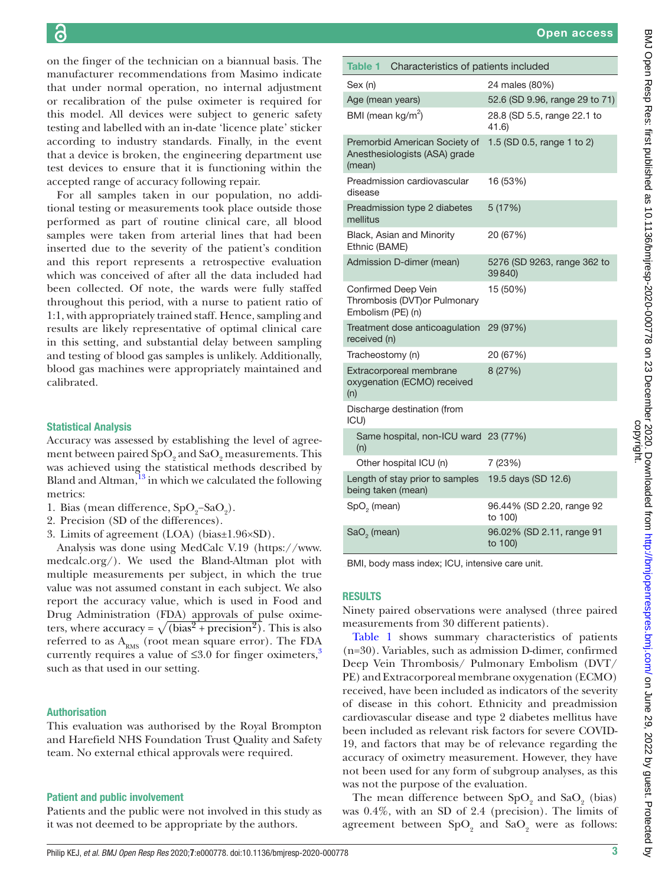on the finger of the technician on a biannual basis. The manufacturer recommendations from Masimo indicate that under normal operation, no internal adjustment or recalibration of the pulse oximeter is required for this model. All devices were subject to generic safety testing and labelled with an in-date 'licence plate' sticker according to industry standards. Finally, in the event that a device is broken, the engineering department use test devices to ensure that it is functioning within the accepted range of accuracy following repair.

For all samples taken in our population, no additional testing or measurements took place outside those performed as part of routine clinical care, all blood samples were taken from arterial lines that had been inserted due to the severity of the patient's condition and this report represents a retrospective evaluation which was conceived of after all the data included had been collected. Of note, the wards were fully staffed throughout this period, with a nurse to patient ratio of 1:1, with appropriately trained staff. Hence, sampling and results are likely representative of optimal clinical care in this setting, and substantial delay between sampling and testing of blood gas samples is unlikely. Additionally, blood gas machines were appropriately maintained and calibrated.

#### Statistical Analysis

Accuracy was assessed by establishing the level of agreement between paired  $\mathrm{SpO}_2$  and  $\mathrm{SaO}_2$  measurements. This was achieved using the statistical methods described by Bland and Altman, $^{13}$  $^{13}$  $^{13}$  in which we calculated the following metrics:

- 1. Bias (mean difference,  $SpO_2-SaO_2$ ).
- 2. Precision (SD of the differences).
- 3. Limits of agreement (LOA) (bias±1.96×SD).

Analysis was done using MedCalc V.19 [\(https://www.](https://www.medcalc.org/) [medcalc.org/](https://www.medcalc.org/)). We used the Bland-Altman plot with multiple measurements per subject, in which the true value was not assumed constant in each subject. We also report the accuracy value, which is used in Food and Drug Administration (FDA) approvals of pulse oximeters, where accuracy =  $\sqrt{\text{(bias}^2 + \text{precision}^2)}$ . This is also referred to as  $A_{RMS}$  (root mean square error). The FDA currently requires a value of  $\leq 3.0$  $\leq 3.0$  $\leq 3.0$  for finger oximeters,<sup>3</sup> such as that used in our setting.

#### Authorisation

This evaluation was authorised by the Royal Brompton and Harefield NHS Foundation Trust Quality and Safety team. No external ethical approvals were required.

## Patient and public involvement

Patients and the public were not involved in this study as it was not deemed to be appropriate by the authors.

<span id="page-2-0"></span>

| Table 1<br>Characteristics of patients included                           |                                       |
|---------------------------------------------------------------------------|---------------------------------------|
| Sex (n)                                                                   | 24 males (80%)                        |
| Age (mean years)                                                          | 52.6 (SD 9.96, range 29 to 71)        |
| BMI (mean $kg/m^2$ )                                                      | 28.8 (SD 5.5, range 22.1 to<br>41.6   |
| Premorbid American Society of<br>Anesthesiologists (ASA) grade<br>(mean)  | 1.5 (SD 0.5, range 1 to 2)            |
| Preadmission cardiovascular<br>disease                                    | 16 (53%)                              |
| Preadmission type 2 diabetes<br>mellitus                                  | 5 (17%)                               |
| Black, Asian and Minority<br>Ethnic (BAME)                                | 20 (67%)                              |
| Admission D-dimer (mean)                                                  | 5276 (SD 9263, range 362 to<br>39840) |
| Confirmed Deep Vein<br>Thrombosis (DVT) or Pulmonary<br>Embolism (PE) (n) | 15 (50%)                              |
| Treatment dose anticoagulation<br>received (n)                            | 29 (97%)                              |
| Tracheostomy (n)                                                          | 20 (67%)                              |
| Extracorporeal membrane<br>oxygenation (ECMO) received<br>(n)             | 8 (27%)                               |
| Discharge destination (from<br>ICU)                                       |                                       |
| Same hospital, non-ICU ward 23 (77%)<br>(n)                               |                                       |
| Other hospital ICU (n)                                                    | 7 (23%)                               |
| Length of stay prior to samples<br>being taken (mean)                     | 19.5 days (SD 12.6)                   |
| SpO <sub>2</sub> (mean)                                                   | 96.44% (SD 2.20, range 92<br>to 100)  |
| SaO <sub>2</sub> (mean)                                                   | 96.02% (SD 2.11, range 91<br>to 100)  |

BMI, body mass index; ICU, intensive care unit.

# **RESULTS**

Ninety paired observations were analysed (three paired measurements from 30 different patients).

[Table](#page-2-0) 1 shows summary characteristics of patients (n=30). Variables, such as admission D-dimer, confirmed Deep Vein Thrombosis/ Pulmonary Embolism (DVT/ PE) and Extracorporeal membrane oxygenation (ECMO) received, have been included as indicators of the severity of disease in this cohort. Ethnicity and preadmission cardiovascular disease and type 2 diabetes mellitus have been included as relevant risk factors for severe COVID-19, and factors that may be of relevance regarding the accuracy of oximetry measurement. However, they have not been used for any form of subgroup analyses, as this was not the purpose of the evaluation.

The mean difference between  $SpO<sub>2</sub>$  and  $SaO<sub>2</sub>$  (bias) was 0.4%, with an SD of 2.4 (precision). The limits of agreement between  $SpO<sub>2</sub>$  and  $SaO<sub>2</sub>$  were as follows: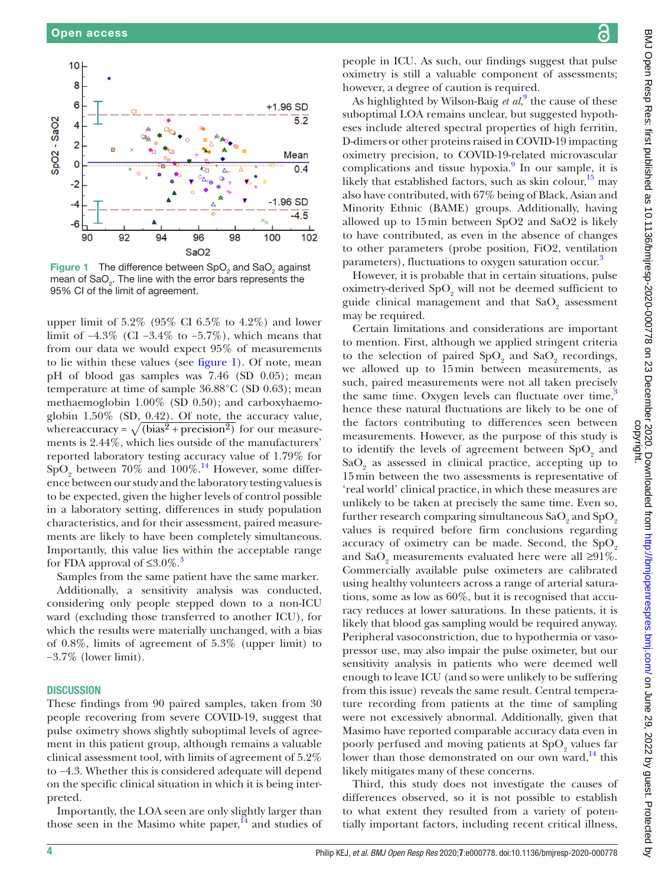

<span id="page-3-0"></span>**Figure 1** The difference between  $SpO<sub>2</sub>$  and  $SaO<sub>2</sub>$  against mean of SaO<sub>2</sub>. The line with the error bars represents the 95% CI of the limit of agreement.

upper limit of 5.2% (95% CI 6.5% to 4.2%) and lower limit of  $-4.3\%$  (CI  $-3.4\%$  to  $-5.7\%$ ), which means that from our data we would expect 95% of measurements to lie within these values (see [figure](#page-3-0) 1). Of note, mean pH of blood gas samples was 7.46 (SD 0.05); mean temperature at time of sample 36.88°C (SD 0.63); mean methaemoglobin 1.00% (SD 0.50); and carboxyhaemoglobin 1.50% (SD, 0.42). Of note, the accuracy value, whereaccuracy =  $\sqrt{\text{(bias}^2 + \text{precision}^2)}$  for our measurements is 2.44%, which lies outside of the manufacturers' reported laboratory testing accuracy value of 1.79% for  $SpO<sub>2</sub>$  between 70% and 100%.<sup>14</sup> However, some difference between our study and the laboratory testing values is to be expected, given the higher levels of control possible in a laboratory setting, differences in study population characteristics, and for their assessment, paired measurements are likely to have been completely simultaneous. Importantly, this value lies within the acceptable range for FDA approval of  $\leq 3.0\%$  $\leq 3.0\%$  $\leq 3.0\%$ .<sup>3</sup>

Samples from the same patient have the same marker.

Additionally, a sensitivity analysis was conducted, considering only people stepped down to a non-ICU ward (excluding those transferred to another ICU), for which the results were materially unchanged, with a bias of 0.8%, limits of agreement of 5.3% (upper limit) to −3.7% (lower limit).

#### **DISCUSSION**

These findings from 90 paired samples, taken from 30 people recovering from severe COVID-19, suggest that pulse oximetry shows slightly suboptimal levels of agreement in this patient group, although remains a valuable clinical assessment tool, with limits of agreement of 5.2% to −4.3. Whether this is considered adequate will depend on the specific clinical situation in which it is being interpreted.

Importantly, the LOA seen are only slightly larger than those seen in the Masimo white paper, $^{14}$  and studies of people in ICU. As such, our findings suggest that pulse oximetry is still a valuable component of assessments; however, a degree of caution is required.

As highlighted by Wilson-Baig *et al*,<sup>[9](#page-4-7)</sup> the cause of these suboptimal LOA remains unclear, but suggested hypotheses include altered spectral properties of high ferritin, D-dimers or other proteins raised in COVID-19 impacting oximetry precision, to COVID-19-related microvascular complications and tissue hypoxia.<sup>[9](#page-4-7)</sup> In our sample, it is likely that established factors, such as skin colour,<sup>[15](#page-4-13)</sup> may also have contributed, with 67% being of Black, Asian and Minority Ethnic (BAME) groups. Additionally, having allowed up to 15min between SpO2 and SaO2 is likely to have contributed, as even in the absence of changes to other parameters (probe position, FiO2, ventilation parameters), fluctuations to oxygen saturation occur.<sup>[3](#page-4-2)</sup>

However, it is probable that in certain situations, pulse oximetry-derived  $SpO<sub>2</sub>$  will not be deemed sufficient to guide clinical management and that  $\operatorname{SaO}_2$  assessment may be required.

Certain limitations and considerations are important to mention. First, although we applied stringent criteria to the selection of paired  $SpO<sub>2</sub>$  and  $SaO<sub>2</sub>$  recordings, we allowed up to 15min between measurements, as such, paired measurements were not all taken precisely the same time. Oxygen levels can fluctuate over time, $3\,$  $3\,$ hence these natural fluctuations are likely to be one of the factors contributing to differences seen between measurements. However, as the purpose of this study is to identify the levels of agreement between  $SpO<sub>2</sub>$  and  $SaO<sub>2</sub>$  as assessed in clinical practice, accepting up to 15min between the two assessments is representative of 'real world' clinical practice, in which these measures are unlikely to be taken at precisely the same time. Even so, further research comparing simultaneous  $\rm SaO_{_2}$  and  $\rm SpO_{_2}$ values is required before firm conclusions regarding accuracy of oximetry can be made. Second, the  $SpO<sub>2</sub>$ and  $\text{SaO}_2$  measurements evaluated here were all  $\geq 91\%$ . Commercially available pulse oximeters are calibrated using healthy volunteers across a range of arterial saturations, some as low as 60%, but it is recognised that accuracy reduces at lower saturations. In these patients, it is likely that blood gas sampling would be required anyway. Peripheral vasoconstriction, due to hypothermia or vasopressor use, may also impair the pulse oximeter, but our sensitivity analysis in patients who were deemed well enough to leave ICU (and so were unlikely to be suffering from this issue) reveals the same result. Central temperature recording from patients at the time of sampling were not excessively abnormal. Additionally, given that Masimo have reported comparable accuracy data even in poorly perfused and moving patients at  $SpO<sub>2</sub>$  values far lower than those demonstrated on our own ward, $^{14}$  this likely mitigates many of these concerns.

Third, this study does not investigate the causes of differences observed, so it is not possible to establish to what extent they resulted from a variety of potentially important factors, including recent critical illness,